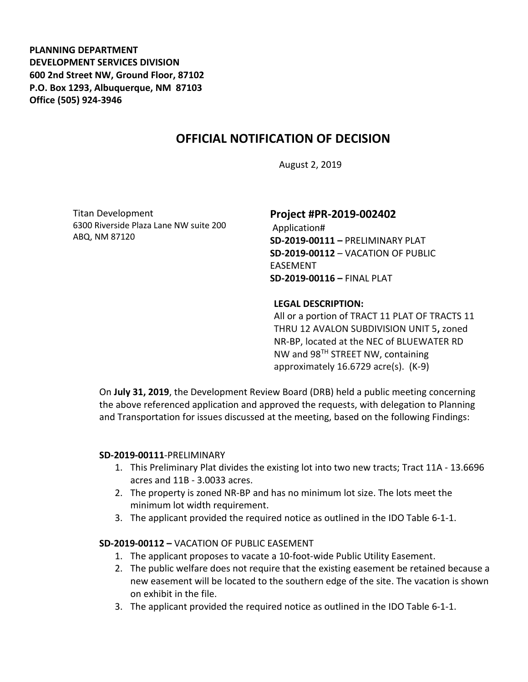**PLANNING DEPARTMENT DEVELOPMENT SERVICES DIVISION 600 2nd Street NW, Ground Floor, 87102 P.O. Box 1293, Albuquerque, NM 87103 Office (505) 924-3946** 

# **OFFICIAL NOTIFICATION OF DECISION**

August 2, 2019

Titan Development 6300 Riverside Plaza Lane NW suite 200 ABQ, NM 87120

# **Project #PR-2019-002402**

Application# **SD-2019-00111 –** PRELIMINARY PLAT **SD-2019-00112** – VACATION OF PUBLIC EASEMENT **SD-2019-00116 –** FINAL PLAT

### **LEGAL DESCRIPTION:**

All or a portion of TRACT 11 PLAT OF TRACTS 11 THRU 12 AVALON SUBDIVISION UNIT 5**,** zoned NR-BP, located at the NEC of BLUEWATER RD NW and 98TH STREET NW, containing approximately 16.6729 acre(s). (K-9)

On **July 31, 2019**, the Development Review Board (DRB) held a public meeting concerning the above referenced application and approved the requests, with delegation to Planning and Transportation for issues discussed at the meeting, based on the following Findings:

#### **SD-2019-00111**-PRELIMINARY

- 1. This Preliminary Plat divides the existing lot into two new tracts; Tract 11A 13.6696 acres and 11B - 3.0033 acres.
- 2. The property is zoned NR-BP and has no minimum lot size. The lots meet the minimum lot width requirement.
- 3. The applicant provided the required notice as outlined in the IDO Table 6-1-1.

# **SD-2019-00112 –** VACATION OF PUBLIC EASEMENT

- 1. The applicant proposes to vacate a 10-foot-wide Public Utility Easement.
- 2. The public welfare does not require that the existing easement be retained because a new easement will be located to the southern edge of the site. The vacation is shown on exhibit in the file.
- 3. The applicant provided the required notice as outlined in the IDO Table 6-1-1.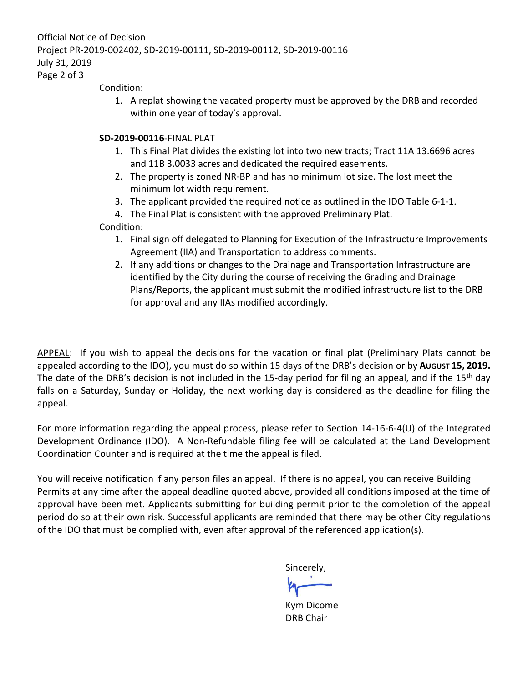Official Notice of Decision Project PR-2019-002402, SD-2019-00111, SD-2019-00112, SD-2019-00116 July 31, 2019 Page 2 of 3

Condition:

1. A replat showing the vacated property must be approved by the DRB and recorded within one year of today's approval.

## **SD-2019-00116**-FINAL PLAT

- 1. This Final Plat divides the existing lot into two new tracts; Tract 11A 13.6696 acres and 11B 3.0033 acres and dedicated the required easements.
- 2. The property is zoned NR-BP and has no minimum lot size. The lost meet the minimum lot width requirement.
- 3. The applicant provided the required notice as outlined in the IDO Table 6-1-1.
- 4. The Final Plat is consistent with the approved Preliminary Plat.

Condition:

- 1. Final sign off delegated to Planning for Execution of the Infrastructure Improvements Agreement (IIA) and Transportation to address comments.
- 2. If any additions or changes to the Drainage and Transportation Infrastructure are identified by the City during the course of receiving the Grading and Drainage Plans/Reports, the applicant must submit the modified infrastructure list to the DRB for approval and any IIAs modified accordingly.

APPEAL: If you wish to appeal the decisions for the vacation or final plat (Preliminary Plats cannot be appealed according to the IDO), you must do so within 15 days of the DRB's decision or by **AUGUST 15, 2019.**  The date of the DRB's decision is not included in the 15-day period for filing an appeal, and if the 15<sup>th</sup> day falls on a Saturday, Sunday or Holiday, the next working day is considered as the deadline for filing the appeal.

For more information regarding the appeal process, please refer to Section 14-16-6-4(U) of the Integrated Development Ordinance (IDO). A Non-Refundable filing fee will be calculated at the Land Development Coordination Counter and is required at the time the appeal is filed.

You will receive notification if any person files an appeal. If there is no appeal, you can receive Building Permits at any time after the appeal deadline quoted above, provided all conditions imposed at the time of approval have been met. Applicants submitting for building permit prior to the completion of the appeal period do so at their own risk. Successful applicants are reminded that there may be other City regulations of the IDO that must be complied with, even after approval of the referenced application(s).

Sincerely,

Kym Dicome DRB Chair